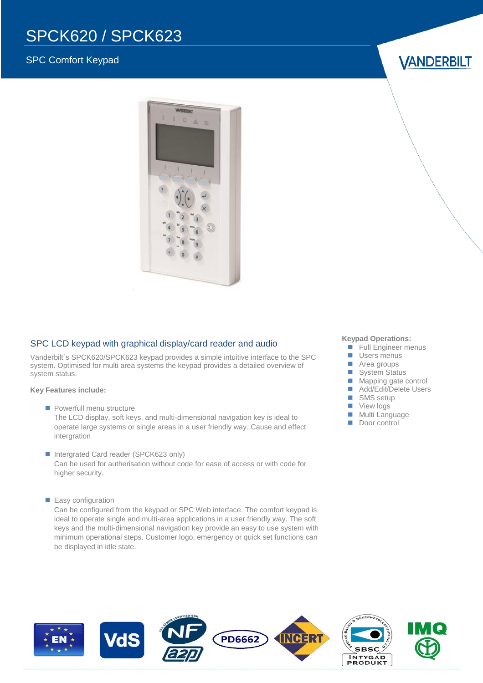# SPCK620 / SPCK623

### SPC Comfort Keypad

**VANDERBILT** 



#### SPC LCD keypad with graphical display/card reader and audio

Vanderbilt`s SPCK620/SPCK623 keypad provides a simple intuitive interface to the SPC system. Optimised for multi area systems the keypad provides a detailed overview of system status.

#### **Key Features include:**

- **Powerfull menu structure** The LCD display, soft keys, and multi-dimensional navigation key is ideal to operate large systems or single areas in a user friendly way. Cause and effect intergration
- Intergrated Card reader (SPCK623 only) Can be used for autherisation without code for ease of access or with code for higher security.
- **Easy configuration**

Can be configured from the keypad or SPC Web interface. The comfort keypad is ideal to operate single and multi-area applications in a user friendly way. The soft keys and the multi-dimensional navigation key provide an easy to use system with minimum operational steps. Customer logo, emergency or quick set functions can be displayed in idle state.

#### **Keypad Operations:**

- **Full Engineer menus**
- **Users menus**
- Area groups
- System Status
- **Mapping gate control**
- Add/Edit/Delete Users
- SMS setup
- **View logs**
- **Multi Language**
- Door control

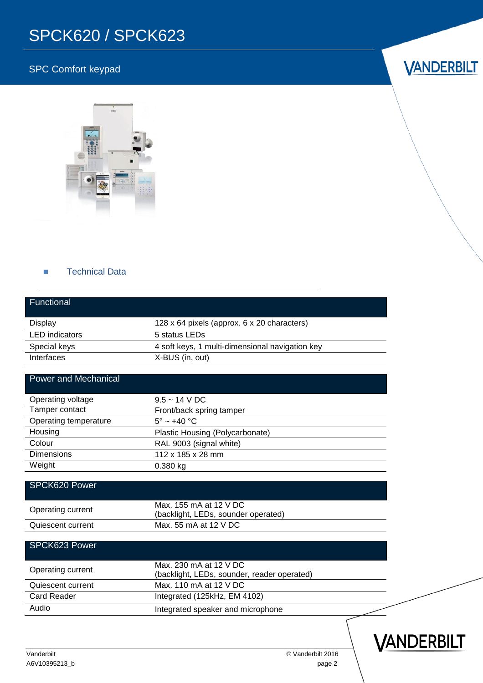# SPCK620 / SPCK623

## SPC Comfort keypad



#### **Technical Data**

| Functional                  |                                                                       |  |  |
|-----------------------------|-----------------------------------------------------------------------|--|--|
| <b>Display</b>              | 128 x 64 pixels (approx. 6 x 20 characters)                           |  |  |
| <b>LED</b> indicators       | 5 status LEDs                                                         |  |  |
| Special keys                | 4 soft keys, 1 multi-dimensional navigation key                       |  |  |
| Interfaces                  | X-BUS (in, out)                                                       |  |  |
| <b>Power and Mechanical</b> |                                                                       |  |  |
| Operating voltage           | $9.5 - 14$ V DC                                                       |  |  |
| Tamper contact              | Front/back spring tamper                                              |  |  |
| Operating temperature       | $5^\circ \sim +40^\circ \text{C}$                                     |  |  |
| Housing                     | Plastic Housing (Polycarbonate)                                       |  |  |
| Colour                      | RAL 9003 (signal white)                                               |  |  |
| <b>Dimensions</b>           | 112 x 185 x 28 mm                                                     |  |  |
| Weight                      | 0.380 kg                                                              |  |  |
| SPCK620 Power               |                                                                       |  |  |
| Operating current           | Max. 155 mA at 12 V DC<br>(backlight, LEDs, sounder operated)         |  |  |
| Quiescent current           | Max. 55 mA at 12 V DC                                                 |  |  |
| SPCK623 Power               |                                                                       |  |  |
| Operating current           | Max, 230 mA at 12 V DC<br>(backlight, LEDs, sounder, reader operated) |  |  |
| Quiescent current           | Max. 110 mA at 12 V DC                                                |  |  |
| <b>Card Reader</b>          | Integrated (125kHz, EM 4102)                                          |  |  |
| Audio                       | Integrated speaker and microphone                                     |  |  |
|                             |                                                                       |  |  |



Vanderbilt © Vanderbilt 2016

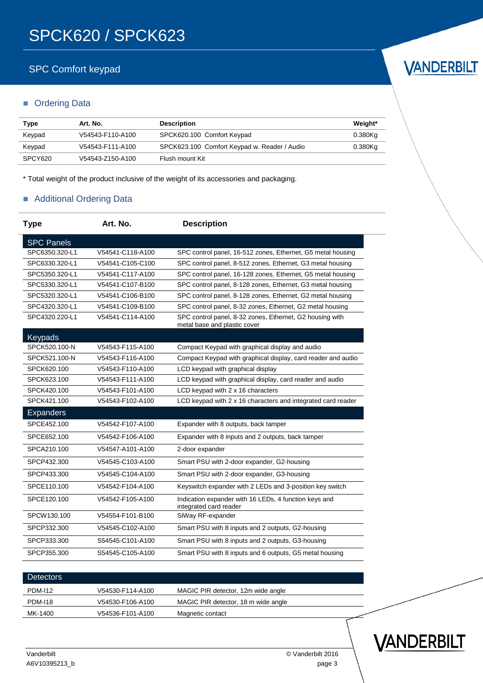## SPC Comfort keypad

#### **C**rdering Data

| Type    | Art. No.         | <b>Description</b>                           | Weight*    |
|---------|------------------|----------------------------------------------|------------|
| Keypad  | V54543-F110-A100 | SPCK620.100 Comfort Keypad                   | 0.380Kg    |
| Keypad  | V54543-F111-A100 | SPCK623.100 Comfort Keypad w. Reader / Audio | $0.380$ Ka |
| SPCY620 | V54543-Z150-A100 | Flush mount Kit                              |            |

\* Total weight of the product inclusive of the weight of its accessories and packaging.

#### **Additional Ordering Data**

| <b>Type</b>       | Art. No.         | <b>Description</b>                                                                       |
|-------------------|------------------|------------------------------------------------------------------------------------------|
| <b>SPC Panels</b> |                  |                                                                                          |
| SPC6350.320-L1    | V54541-C118-A100 | SPC control panel, 16-512 zones, Ethernet, G5 metal housing                              |
| SPC6330.320-L1    | V54541-C105-C100 | SPC control panel, 8-512 zones, Ethernet, G3 metal housing                               |
| SPC5350.320-L1    | V54541-C117-A100 | SPC control panel, 16-128 zones, Ethernet, G5 metal housing                              |
| SPC5330.320-L1    | V54541-C107-B100 | SPC control panel, 8-128 zones, Ethernet, G3 metal housing                               |
| SPC5320.320-L1    | V54541-C106-B100 | SPC control panel, 8-128 zones, Ethernet, G2 metal housing                               |
| SPC4320.320-L1    | V54541-C109-B100 | SPC control panel, 8-32 zones, Ethernet, G2 metal housing                                |
| SPC4320.220-L1    | V54541-C114-A100 | SPC control panel, 8-32 zones, Ethernet, G2 housing with<br>metal base and plastic cover |
| <b>Keypads</b>    |                  |                                                                                          |
| SPCK520.100-N     | V54543-F115-A100 | Compact Keypad with graphical display and audio                                          |
| SPCK521.100-N     | V54543-F116-A100 | Compact Keypad with graphical display, card reader and audio                             |
| SPCK620.100       | V54543-F110-A100 | LCD keypad with graphical display                                                        |
| SPCK623.100       | V54543-F111-A100 | LCD keypad with graphical display, card reader and audio                                 |
| SPCK420.100       | V54543-F101-A100 | LCD keypad with 2 x 16 characters                                                        |
| SPCK421.100       | V54543-F102-A100 | LCD keypad with 2 x 16 characters and integrated card reader                             |
| <b>Expanders</b>  |                  |                                                                                          |
| SPCE452.100       | V54542-F107-A100 | Expander with 8 outputs, back tamper                                                     |
| SPCE652.100       | V54542-F106-A100 | Expander with 8 inputs and 2 outputs, back tamper                                        |
| SPCA210.100       | V54547-A101-A100 | 2-door expander                                                                          |
| SPCP432.300       | V54545-C103-A100 | Smart PSU with 2-door expander, G2-housing                                               |
| SPCP433.300       | V54545-C104-A100 | Smart PSU with 2-door expander, G3-housing                                               |
| SPCE110.100       | V54542-F104-A100 | Keyswitch expander with 2 LEDs and 3-position key switch                                 |
| SPCE120.100       | V54542-F105-A100 | Indication expander with 16 LEDs, 4 function keys and<br>integrated card reader          |
| SPCW130.100       | V54554-F101-B100 | SiWay RF-expander                                                                        |
| SPCP332.300       | V54545-C102-A100 | Smart PSU with 8 inputs and 2 outputs, G2-housing                                        |
| SPCP333.300       | S54545-C101-A100 | Smart PSU with 8 inputs and 2 outputs, G3-housing                                        |
| SPCP355.300       | S54545-C105-A100 | Smart PSU with 8 inputs and 6 outputs, G5 metal housing                                  |

| <b>Detectors</b>                                                          |  |
|---------------------------------------------------------------------------|--|
| <b>PDM-112</b><br>MAGIC PIR detector, 12m wide angle<br>V54530-F114-A100  |  |
| <b>PDM-118</b><br>MAGIC PIR detector, 18 m wide angle<br>V54530-F106-A100 |  |
| MK-1400<br>V54536-F101-A100<br>Magnetic contact                           |  |



 $\overline{\phantom{0}}$ 

VANDERBILT